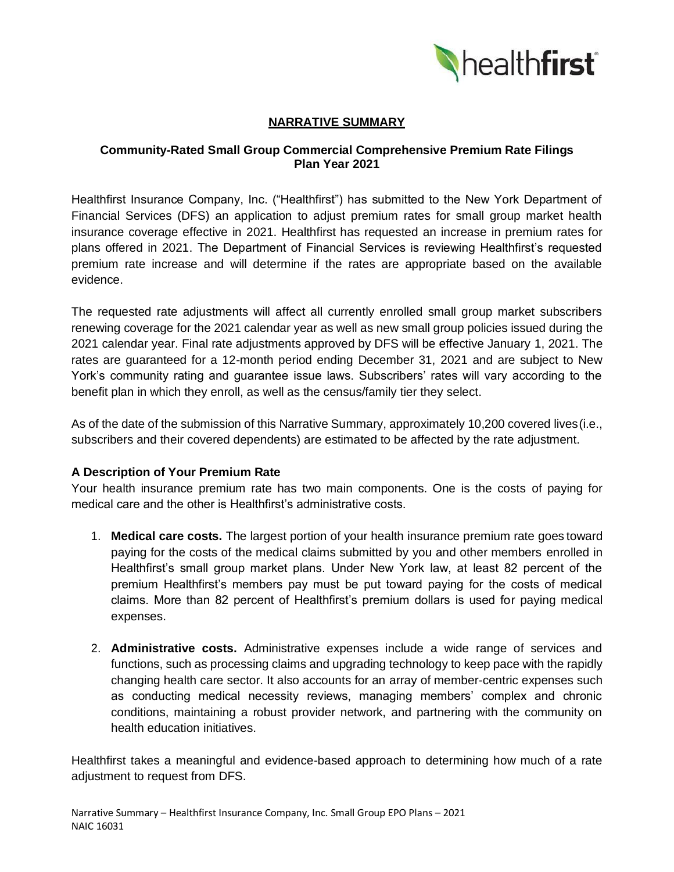

# **NARRATIVE SUMMARY**

### **Community-Rated Small Group Commercial Comprehensive Premium Rate Filings Plan Year 2021**

Healthfirst Insurance Company, Inc. ("Healthfirst") has submitted to the New York Department of Financial Services (DFS) an application to adjust premium rates for small group market health insurance coverage effective in 2021. Healthfirst has requested an increase in premium rates for plans offered in 2021. The Department of Financial Services is reviewing Healthfirst's requested premium rate increase and will determine if the rates are appropriate based on the available evidence.

The requested rate adjustments will affect all currently enrolled small group market subscribers renewing coverage for the 2021 calendar year as well as new small group policies issued during the 2021 calendar year. Final rate adjustments approved by DFS will be effective January 1, 2021. The rates are guaranteed for a 12-month period ending December 31, 2021 and are subject to New York's community rating and guarantee issue laws. Subscribers' rates will vary according to the benefit plan in which they enroll, as well as the census/family tier they select.

As of the date of the submission of this Narrative Summary, approximately 10,200 covered lives(i.e., subscribers and their covered dependents) are estimated to be affected by the rate adjustment.

#### **A Description of Your Premium Rate**

Your health insurance premium rate has two main components. One is the costs of paying for medical care and the other is Healthfirst's administrative costs.

- 1. **Medical care costs.** The largest portion of your health insurance premium rate goes toward paying for the costs of the medical claims submitted by you and other members enrolled in Healthfirst's small group market plans. Under New York law, at least 82 percent of the premium Healthfirst's members pay must be put toward paying for the costs of medical claims. More than 82 percent of Healthfirst's premium dollars is used for paying medical expenses.
- 2. **Administrative costs.** Administrative expenses include a wide range of services and functions, such as processing claims and upgrading technology to keep pace with the rapidly changing health care sector. It also accounts for an array of member-centric expenses such as conducting medical necessity reviews, managing members' complex and chronic conditions, maintaining a robust provider network, and partnering with the community on health education initiatives.

Healthfirst takes a meaningful and evidence-based approach to determining how much of a rate adjustment to request from DFS.